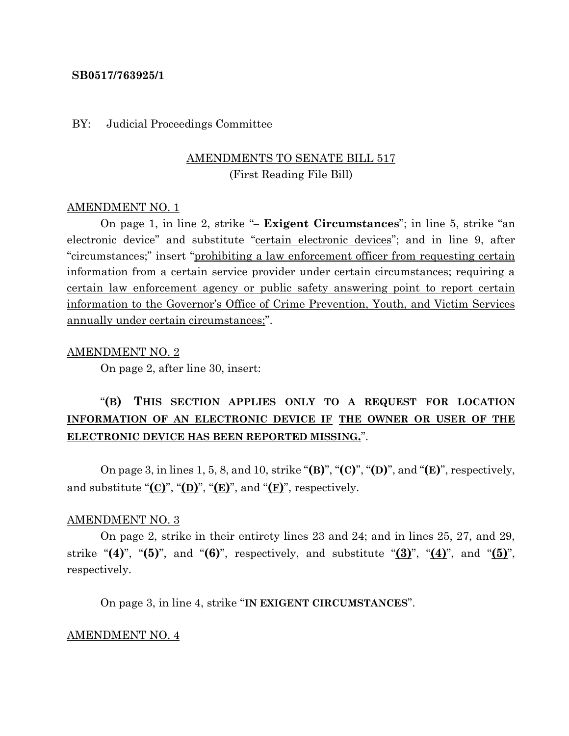#### **SB0517/763925/1**

#### BY: Judicial Proceedings Committee

## AMENDMENTS TO SENATE BILL 517 (First Reading File Bill)

#### AMENDMENT NO. 1

On page 1, in line 2, strike "**– Exigent Circumstances**"; in line 5, strike "an electronic device" and substitute "certain electronic devices"; and in line 9, after "circumstances;" insert "prohibiting a law enforcement officer from requesting certain information from a certain service provider under certain circumstances; requiring a certain law enforcement agency or public safety answering point to report certain information to the Governor's Office of Crime Prevention, Youth, and Victim Services annually under certain circumstances;".

#### AMENDMENT NO. 2

On page 2, after line 30, insert:

# "**(B) THIS SECTION APPLIES ONLY TO A REQUEST FOR LOCATION INFORMATION OF AN ELECTRONIC DEVICE IF THE OWNER OR USER OF THE ELECTRONIC DEVICE HAS BEEN REPORTED MISSING.**".

On page 3, in lines 1, 5, 8, and 10, strike "**(B)**", "**(C)**", "**(D)**", and "**(E)**", respectively, and substitute " $(\mathbf{C})$ ", " $(\mathbf{D})$ ", " $(\mathbf{E})$ ", and " $(\mathbf{F})$ ", respectively.

#### AMENDMENT NO. 3

On page 2, strike in their entirety lines 23 and 24; and in lines 25, 27, and 29, strike "**(4)**", "**(5)**", and "**(6)**", respectively, and substitute "**(3)**", "**(4)**", and "**(5)**", respectively.

On page 3, in line 4, strike "**IN EXIGENT CIRCUMSTANCES**".

#### AMENDMENT NO. 4